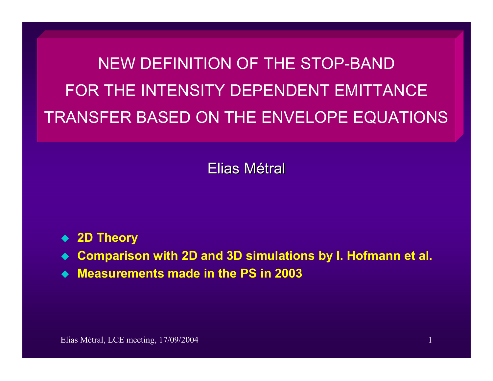NEW DEFINITION OF THE STOP-BAND FOR THE INTENSITY DEPENDENT EMITTANCE TRANSFER BASED ON THE ENVELOPE EQUATIONS

Elias Métral

- ◆ 2D Theory
- ♦ **Comparison with 2D and 3D simulations by I. Hofmann et al.**
- **Measurements made in the PS in 2003**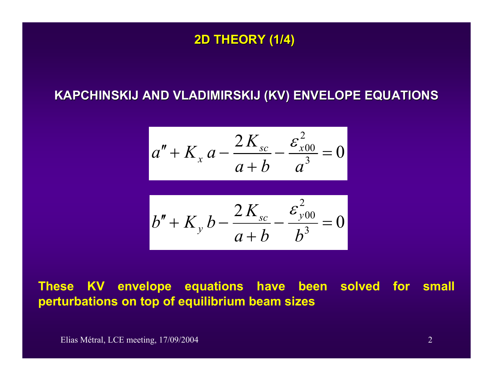#### **2D THEORY (1/4) 2D THEORY (1/4)**

### **KAPCHINSKIJ AND VL KAPCHINSKIJ AND VLADIMIRSKIJ (KV) ENVELOPE EQUATIONS ADIMIRSKIJ (KV) ENVELOPE EQUATIONS**

$$
a'' + K_x a - \frac{2K_{sc}}{a+b} - \frac{\varepsilon_{x00}^2}{a^3} = 0
$$

$$
b'' + K_y b - \frac{2K_{sc}}{a+b} - \frac{\varepsilon_{y00}^2}{b^3} = 0
$$

# **These KV envelope equations have been solved for small perturbations on top of equilibrium beam sizes**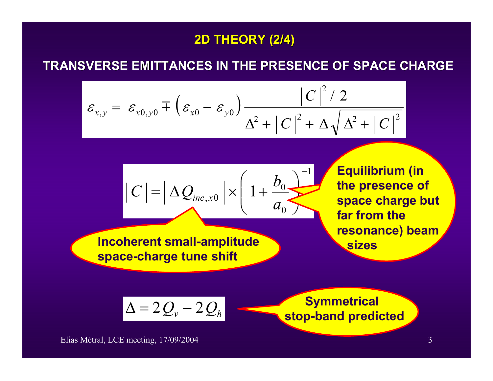# **2D THEORY (2/4) 2D THEORY (2/4)**

#### **TRANSVERSE EMITTANCES IN TH TRANSVERSE EMITTANCES IN THE PRESENCE OF SPACE CHARGE E PRESENCE OF SPACE CHARGE**

$$
\varepsilon_{x,y} = \varepsilon_{x0,y0} \pm \left( \varepsilon_{x0} - \varepsilon_{y0} \right) \frac{\left| C \right|^2 / 2}{\Delta^2 + \left| C \right|^2 + \Delta \sqrt{\Delta^2 + \left| C \right|^2}}
$$

$$
|C| = \left| \Delta Q_{inc,x0} \right| \times \left( 1 + \frac{b_0}{a_0} \right)^{-1}
$$

 **Incoherent small-amplitude space-charge tune shift**

**Equilibrium (in the presence of space charge but far from the resonance) beam sizes**

$$
\Delta = 2Q_v - 2Q_h
$$

<sup>∆</sup> <sup>=</sup> <sup>2</sup> <sup>−</sup> <sup>2</sup> **Symmetrical stop-band predicted**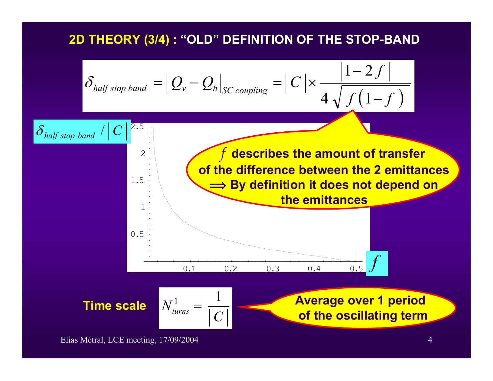# **2D THEORY (3/4) : 2D THEORY (3/4) : "OLD" DEFINITION OF THE STOP DEFINITION OF THE STOP-BAND**

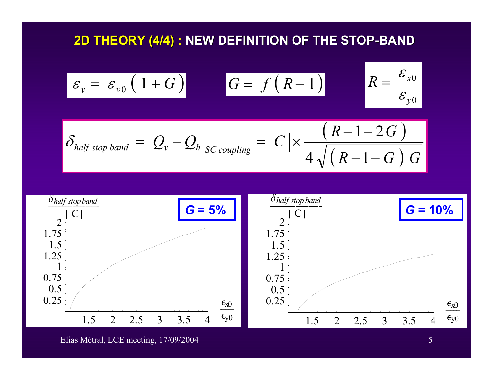# **2D THEORY (4/4) : NEW DEFINITION OF THE STOP-BAND**

$$
\varepsilon_{y} = \varepsilon_{y0} \left( 1 + G \right) \qquad G = f(R - 1) \qquad R = \frac{\varepsilon_{x0}}{\varepsilon_{y0}}
$$

$$
\delta_{half\ stop\ band} = |Q_{v} - Q_{h}|_{SC\ coupling} = |C| \times \frac{(R - 1 - 2G)}{4\sqrt{(R - 1 - G)G}}
$$

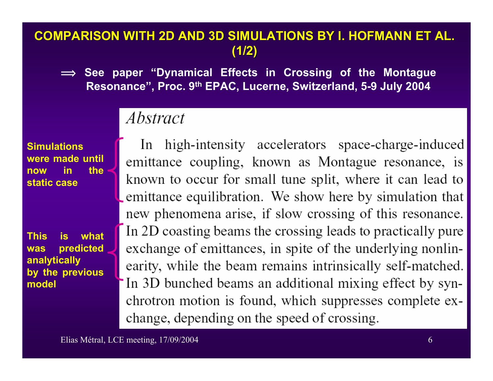# **COMPARISON WITH 2D AND 3D SI COMPARISON WITH 2D AND 3D SIMULATIONS BY I. HOFMANN ET AL. MULATIONS BY I. HOFMANN ET AL. (1/2)**

 $\implies$  See paper "Dynamical Effects in Crossing of the Montague **Resonance", Proc. 9th EPAC, Lucerne, Switzerland, 5-9 July 2004**

# *Abstract*

**Simulations were made until now in the static case**

**This is what was predicted analytically by the previous model**

In high-intensity accelerators space-charge-induced emittance coupling, known as Montague resonance, is known to occur for small tune split, where it can lead to emittance equilibration. We show here by simulation that new phenomena arise, if slow crossing of this resonance. In 2D coasting beams the crossing leads to practically pure exchange of emittances, in spite of the underlying nonlinearity, while the beam remains intrinsically self-matched. In 3D bunched beams an additional mixing effect by synchrotron motion is found, which suppresses complete exchange, depending on the speed of crossing.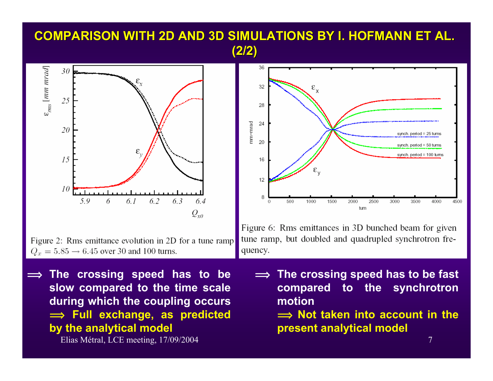# **COMPARISON WITH 2D AND 3D SI COMPARISON WITH 2D AND 3D SIMULATIONS BY I. HOFMANN ET AL. MULATIONS BY I. HOFMANN ET AL. (2/2)**



Figure 2: Rms emittance evolution in 2D for a tune ramp  $Q_x = 5.85 \rightarrow 6.45$  over 30 and 100 turns.

 $\implies$  The crossing speed has to be **slow compared to the time scale during which the coupling occurs î Full exchange, as predicted by the analytical model**

Elias Métral, LCE meeting, 17/09/2004 7



Figure 6: Rms emittances in 3D bunched beam for given tune ramp, but doubled and quadrupled synchrotron frequency.

 $\implies$  The crossing speed has to be fast **compared to the synchrotron motion**  $\implies$  **Not taken into account in the present analytical model**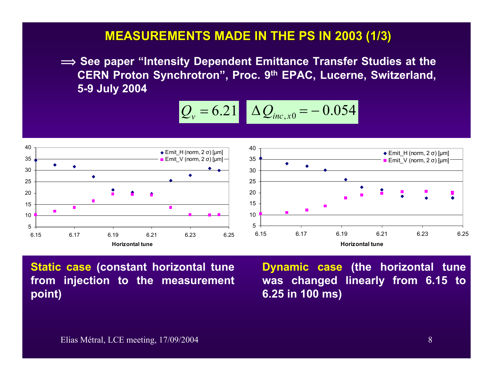#### **MEASUREMENTS MADE IN THE PS IN 2003 (1/3) MEASUREMENTS MADE IN THE PS IN 2003 (1/3)**

 $\implies$  See paper "Intensity Dependent Emittance Transfer Studies at the **CERN Proton Synchrotron", Proc. 9th EPAC, Lucerne, Switzerland, 5-9 July 2004**

$$
Q_v = 6.21 \quad \Delta Q_{inc,x0} = -0.054
$$



**Static case (constant horizontal tune from injection to the measurement point)**

**Dynamic case (the horizontal tune was changed linearly from 6.15 to 6.25 in 100 ms)**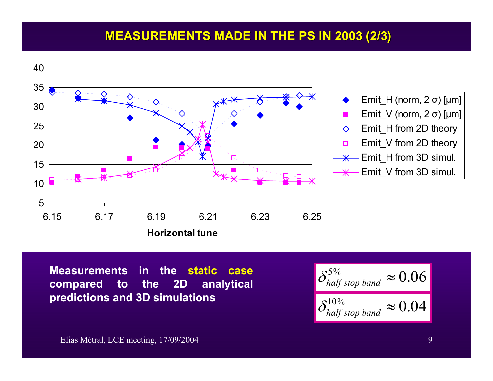# **MEASUREMENTS MADE IN THE PS IN 2003 (2/3)**



**Measurements in the static casecompared to the 2D analytical predictions and 3D simulations**

$$
\left|\frac{\delta_{half\ stop\ band}^{5\%}}{\delta_{half\ stop\ band}^{10\%}}\approx 0.06\right|
$$